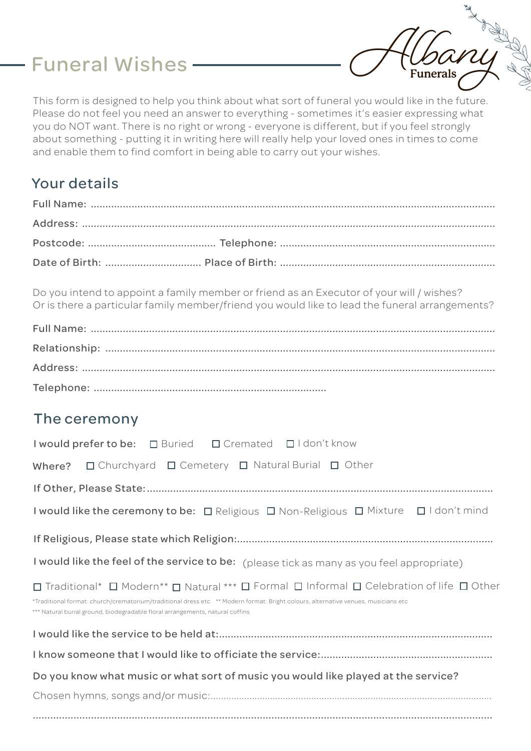# Funeral Wishes

This form is designed to help you think about what sort of funeral you would like in the future. Please do not feel you need an answer to everything - sometimes it's easier expressing what you do NOT want. There is no right or wrong - everyone is different, but if you feel strongly about something - putting it in writing here will really help your loved ones in times to come and enable them to find comfort in being able to carry out your wishes.

Funerals

#### Your details

Do you intend to appoint a family member or friend as an Executor of your will / wishes? Or is there a particular family member/friend you would like to lead the funeral arrangements?

#### The ceremony

| I would prefer to be: □ Buried □ Cremated □ I don't know                                                                                                                                                                                                                                                        |  |  |
|-----------------------------------------------------------------------------------------------------------------------------------------------------------------------------------------------------------------------------------------------------------------------------------------------------------------|--|--|
| Where? $\Box$ Churchyard $\Box$ Cemetery $\Box$ Natural Burial $\Box$ Other                                                                                                                                                                                                                                     |  |  |
|                                                                                                                                                                                                                                                                                                                 |  |  |
| I would like the ceremony to be: □ Religious □ Non-Religious □ Mixture □ I don't mind                                                                                                                                                                                                                           |  |  |
|                                                                                                                                                                                                                                                                                                                 |  |  |
| I would like the feel of the service to be: (please tick as many as you feel appropriate)                                                                                                                                                                                                                       |  |  |
| □ Traditional* □ Modern** □ Natural *** □ Formal □ Informal □ Celebration of life □ Other<br>*Traditional format: church/crematorium/traditional dress etc ** Modern format: Bright colours, alternative venues, musicians etc<br>*** Natural burial ground, biodegradable floral arrangements, natural coffins |  |  |
|                                                                                                                                                                                                                                                                                                                 |  |  |
|                                                                                                                                                                                                                                                                                                                 |  |  |
| Do you know what music or what sort of music you would like played at the service?                                                                                                                                                                                                                              |  |  |
|                                                                                                                                                                                                                                                                                                                 |  |  |

..............................................................................................................................................................